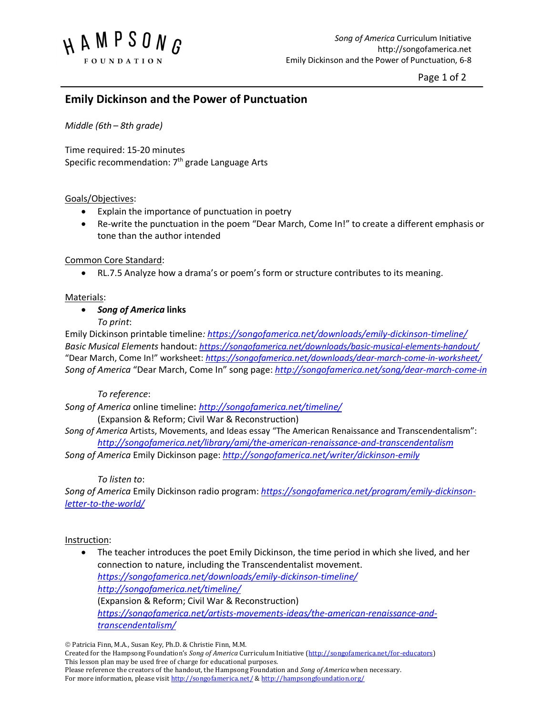

Page 1 of 2

# **Emily Dickinson and the Power of Punctuation**

*Middle (6th – 8th grade)* 

Time required: 15-20 minutes Specific recommendation:  $7<sup>th</sup>$  grade Language Arts

# Goals/Objectives:

- Explain the importance of punctuation in poetry
- Re-write the punctuation in the poem "Dear March, Come In!" to create a different emphasis or tone than the author intended

#### Common Core Standard:

• RL.7.5 Analyze how a drama's or poem's form or structure contributes to its meaning.

#### Materials:

# • *Song of America* **links**

*To print*:

Emily Dickinson printable timeline*: https://songofamerica.net/downloads/emily-dickinson-timeline/ Basic Musical Elements* handout: *https://songofamerica.net/downloads/basic-musical-elements-handout/* "Dear March, Come In!" worksheet: *https://songofamerica.net/downloads/dear-march-come-in-worksheet/ Song of America* "Dear March, Come In" song page: *http://songofamerica.net/song/dear-march-come-in*

# *To reference*:

*Song of America* online timeline: *http://songofamerica.net/timeline/*

# (Expansion & Reform; Civil War & Reconstruction)

*Song of America* Artists, Movements, and Ideas essay "The American Renaissance and Transcendentalism": *http://songofamerica.net/library/ami/the-american-renaissance-and-transcendentalism*

*Song of America* Emily Dickinson page: *http://songofamerica.net/writer/dickinson-emily*

#### *To listen to*:

*Song of America* Emily Dickinson radio program: *https://songofamerica.net/program/emily-dickinsonletter-to-the-world/*

#### Instruction:

• The teacher introduces the poet Emily Dickinson, the time period in which she lived, and her connection to nature, including the Transcendentalist movement. *https://songofamerica.net/downloads/emily-dickinson-timeline/ http://songofamerica.net/timeline/* (Expansion & Reform; Civil War & Reconstruction) *https://songofamerica.net/artists-movements-ideas/the-american-renaissance-andtranscendentalism/*

 $©$  Patricia Finn, M.A., Susan Key, Ph.D. & Christie Finn, M.M.

Created for the Hampsong Foundation's *Song of America* Curriculum Initiative (http://songofamerica.net/for-educators) This lesson plan may be used free of charge for educational purposes. Please reference the creators of the handout, the Hampsong Foundation and *Song of America* when necessary.

For more information, please visit http://songofamerica.net/ & http://hampsongfoundation.org/